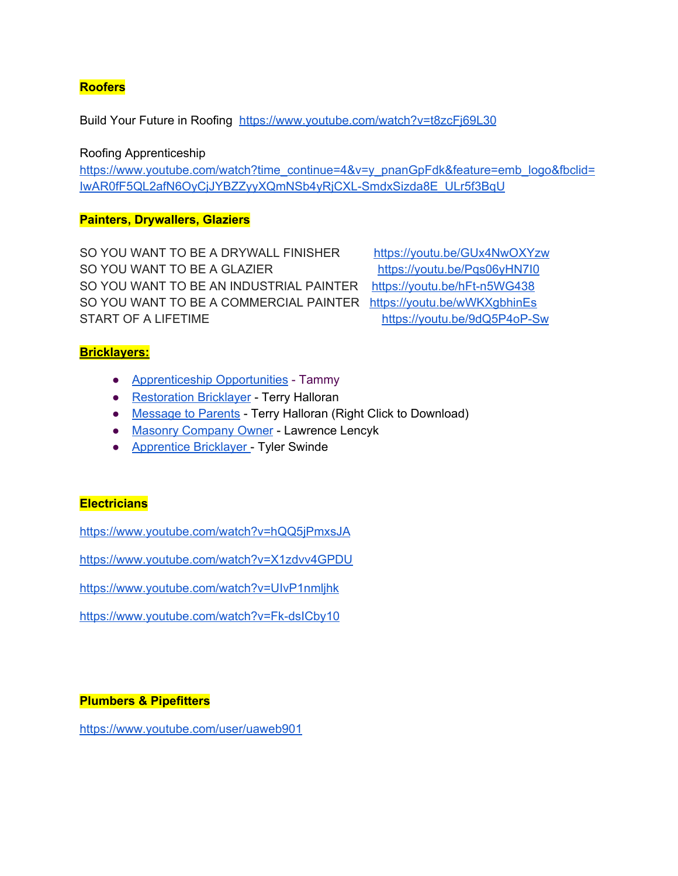### **Roofers**

Build Your Future in Roofing <https://www.youtube.com/watch?v=t8zcFj69L30>

Roofing Apprenticeship

[https://www.youtube.com/watch?time\\_continue=4&v=y\\_pnanGpFdk&feature=emb\\_logo&fbclid=](https://www.youtube.com/watch?time_continue=4&v=y_pnanGpFdk&feature=emb_logo&fbclid=IwAR0fF5QL2afN6OyCjJYBZZyyXQmNSb4yRjCXL-SmdxSizda8E_ULr5f3BqU) [IwAR0fF5QL2afN6OyCjJYBZZyyXQmNSb4yRjCXL-SmdxSizda8E\\_ULr5f3BqU](https://www.youtube.com/watch?time_continue=4&v=y_pnanGpFdk&feature=emb_logo&fbclid=IwAR0fF5QL2afN6OyCjJYBZZyyXQmNSb4yRjCXL-SmdxSizda8E_ULr5f3BqU)

#### **Painters, Drywallers, Glaziers**

SO YOU WANT TO BE A DRYWALL FINISHER <https://youtu.be/GUx4NwOXYzw> SO YOU WANT TO BE A GLAZIER <https://youtu.be/Pqs06yHN7I0> SO YOU WANT TO BE AN INDUSTRIAL PAINTER <https://youtu.be/hFt-n5WG438> SO YOU WANT TO BE A COMMERCIAL PAINTER <https://youtu.be/wWKXgbhinEs> START OF A LIFETIME **<https://youtu.be/9dQ5P4oP-Sw>** 

# **Bricklayers:**

- [Apprenticeship](https://www.allchoicesmatter.org/GRITT-Video-Player/VideoId/4090/) Opportunities Tammy
- [Restoration](https://www.allchoicesmatter.org/GRITT-Video-Player/VideoId/4183) Bricklayer Terry Halloran
- [Message](https://s3-us-west-2.amazonaws.com/hchoices/DaveH/All+Choices+Matter/Youngstown+Career+Interviews/Terry+-+Message+to+Parents.mp4) to Parents Terry Halloran (Right Click to Download)
- Masonry [Company](https://www.allchoicesmatter.org/GRITT-Video-Player/VideoId/4184) Owner Lawrence Lencyk
- [Apprentice](https://www.allchoicesmatter.org/GRITT-Video-Player/VideoId/4185) Bricklayer Tyler Swinde

#### **Electricians**

<https://www.youtube.com/watch?v=hQQ5jPmxsJA>

<https://www.youtube.com/watch?v=X1zdvv4GPDU>

<https://www.youtube.com/watch?v=UIvP1nmljhk>

<https://www.youtube.com/watch?v=Fk-dsICby10>

#### **Plumbers & Pipefitters**

<https://www.youtube.com/user/uaweb901>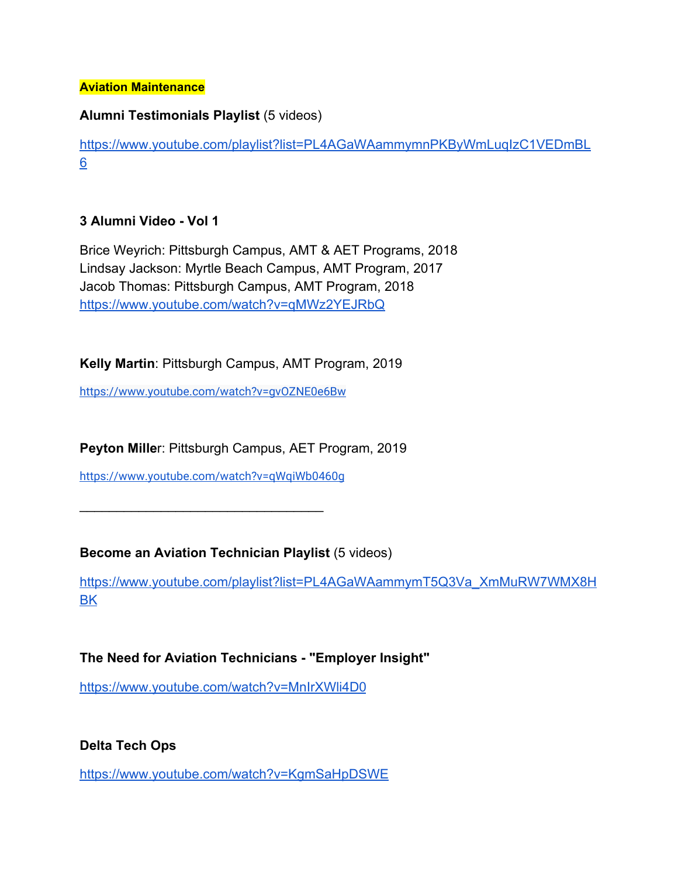#### **Aviation Maintenance**

# **Alumni Testimonials Playlist** (5 videos)

[https://www.youtube.com/playlist?list=PL4AGaWAammymnPKByWmLuqIzC1VEDmBL](https://www.youtube.com/playlist?list=PL4AGaWAammymnPKByWmLuqIzC1VEDmBL6) [6](https://www.youtube.com/playlist?list=PL4AGaWAammymnPKByWmLuqIzC1VEDmBL6)

# **3 Alumni Video - Vol 1**

Brice Weyrich: Pittsburgh Campus, AMT & AET Programs, 2018 Lindsay Jackson: Myrtle Beach Campus, AMT Program, 2017 Jacob Thomas: Pittsburgh Campus, AMT Program, 2018 <https://www.youtube.com/watch?v=qMWz2YEJRbQ>

# **Kelly Martin**: Pittsburgh Campus, AMT Program, 2019

<https://www.youtube.com/watch?v=gvOZNE0e6Bw>

**Peyton Mille**r: Pittsburgh Campus, AET Program, 2019

<https://www.youtube.com/watch?v=qWqiWb0460g>

 $\_$ 

# **Become an Aviation Technician Playlist (5 videos)**

[https://www.youtube.com/playlist?list=PL4AGaWAammymT5Q3Va\\_XmMuRW7WMX8H](https://www.youtube.com/playlist?list=PL4AGaWAammymT5Q3Va_XmMuRW7WMX8HBK) **[BK](https://www.youtube.com/playlist?list=PL4AGaWAammymT5Q3Va_XmMuRW7WMX8HBK)** 

# **The Need for Aviation Technicians - "Employer Insight"**

<https://www.youtube.com/watch?v=MnIrXWli4D0>

**Delta Tech Ops**

<https://www.youtube.com/watch?v=KgmSaHpDSWE>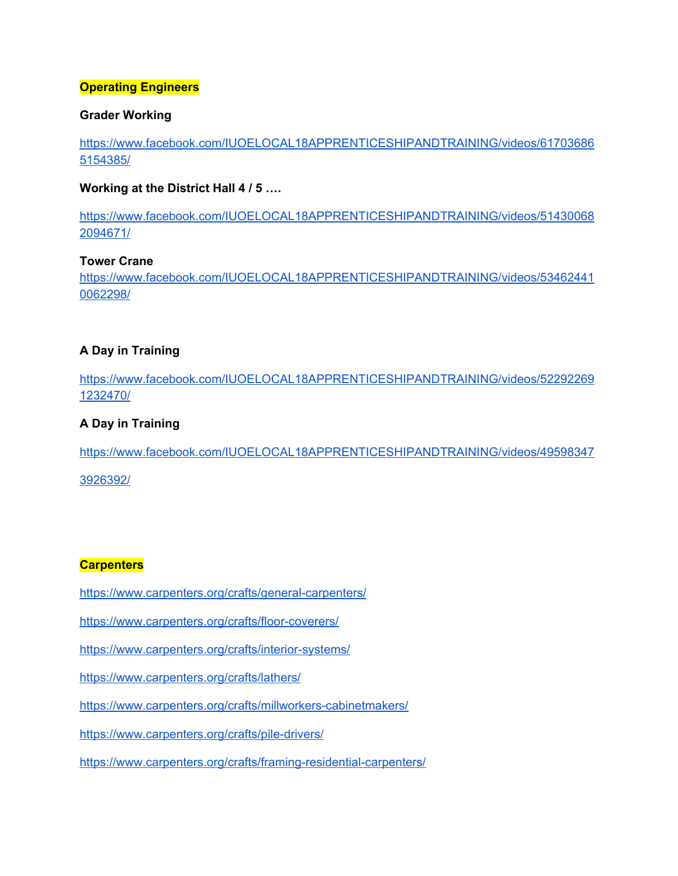#### **Operating Engineers**

#### **Grader Working**

[https://www.facebook.com/IUOELOCAL18APPRENTICESHIPANDTRAINING/videos/61703686](https://www.facebook.com/IUOELOCAL18APPRENTICESHIPANDTRAINING/videos/617036865154385/) [5154385/](https://www.facebook.com/IUOELOCAL18APPRENTICESHIPANDTRAINING/videos/617036865154385/)

#### **Working at the District Hall 4 / 5 ….**

[https://www.facebook.com/IUOELOCAL18APPRENTICESHIPANDTRAINING/videos/51430068](https://www.facebook.com/IUOELOCAL18APPRENTICESHIPANDTRAINING/videos/514300682094671/) [2094671/](https://www.facebook.com/IUOELOCAL18APPRENTICESHIPANDTRAINING/videos/514300682094671/)

### **Tower Crane**

[https://www.facebook.com/IUOELOCAL18APPRENTICESHIPANDTRAINING/videos/53462441](https://www.facebook.com/IUOELOCAL18APPRENTICESHIPANDTRAINING/videos/534624410062298/) [0062298/](https://www.facebook.com/IUOELOCAL18APPRENTICESHIPANDTRAINING/videos/534624410062298/)

### **A Day in Training**

[https://www.facebook.com/IUOELOCAL18APPRENTICESHIPANDTRAINING/videos/52292269](https://www.facebook.com/IUOELOCAL18APPRENTICESHIPANDTRAINING/videos/522922691232470/) [1232470/](https://www.facebook.com/IUOELOCAL18APPRENTICESHIPANDTRAINING/videos/522922691232470/)

### **A Day in Training**

[https://www.facebook.com/IUOELOCAL18APPRENTICESHIPANDTRAINING/videos/49598347](https://www.facebook.com/IUOELOCAL18APPRENTICESHIPANDTRAINING/videos/495983473926392/)

[3926392/](https://www.facebook.com/IUOELOCAL18APPRENTICESHIPANDTRAINING/videos/495983473926392/)

#### **Carpenters**

<https://www.carpenters.org/crafts/general-carpenters/>

<https://www.carpenters.org/crafts/floor-coverers/>

<https://www.carpenters.org/crafts/interior-systems/>

<https://www.carpenters.org/crafts/lathers/>

<https://www.carpenters.org/crafts/millworkers-cabinetmakers/>

<https://www.carpenters.org/crafts/pile-drivers/>

<https://www.carpenters.org/crafts/framing-residential-carpenters/>